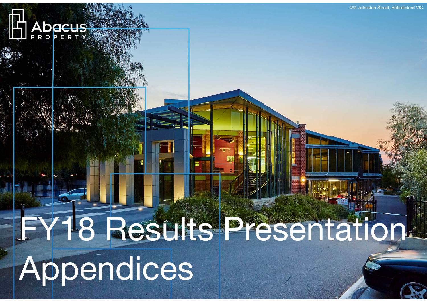

# **FY18 Results Presentation**

 $\mathcal{A}$  . As a property  $\mathcal{A}$ 

Appendices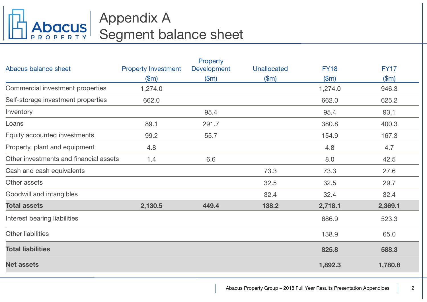

# Appendix A Segment balance sheet

|                                        |                            | Property           |             |             |             |
|----------------------------------------|----------------------------|--------------------|-------------|-------------|-------------|
| Abacus balance sheet                   | <b>Property Investment</b> | <b>Development</b> | Unallocated | <b>FY18</b> | <b>FY17</b> |
|                                        | \$m\$                      | \$m\$              | \$m\$       | \$m\$       | \$m\$       |
| Commercial investment properties       | 1,274.0                    |                    |             | 1,274.0     | 946.3       |
| Self-storage investment properties     | 662.0                      |                    |             | 662.0       | 625.2       |
| Inventory                              |                            | 95.4               |             | 95.4        | 93.1        |
| Loans                                  | 89.1                       | 291.7              |             | 380.8       | 400.3       |
| Equity accounted investments           | 99.2                       | 55.7               |             | 154.9       | 167.3       |
| Property, plant and equipment          | 4.8                        |                    |             | 4.8         | 4.7         |
| Other investments and financial assets | 1.4                        | 6.6                |             | 8.0         | 42.5        |
| Cash and cash equivalents              |                            |                    | 73.3        | 73.3        | 27.6        |
| Other assets                           |                            |                    | 32.5        | 32.5        | 29.7        |
| Goodwill and intangibles               |                            |                    | 32.4        | 32.4        | 32.4        |
| <b>Total assets</b>                    | 2,130.5                    | 449.4              | 138.2       | 2,718.1     | 2,369.1     |
| Interest bearing liabilities           |                            |                    |             | 686.9       | 523.3       |
| <b>Other liabilities</b>               |                            |                    |             | 138.9       | 65.0        |
| <b>Total liabilities</b>               |                            |                    |             | 825.8       | 588.3       |
| <b>Net assets</b>                      |                            |                    |             | 1,892.3     | 1,780.8     |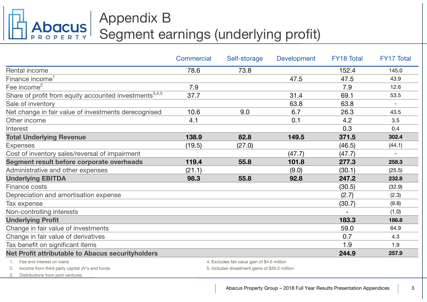# Appendix B Segment earnings (underlying profit)

|                                                                             | Commercial | Self-storage                                                                                   | <b>Development</b> | <b>FY18 Total</b> | <b>FY17 Total</b>        |
|-----------------------------------------------------------------------------|------------|------------------------------------------------------------------------------------------------|--------------------|-------------------|--------------------------|
| Rental income                                                               | 78.6       | 73.8                                                                                           |                    | 152.4             | 145.0                    |
| Finance income <sup>1</sup>                                                 |            |                                                                                                | 47.5               | 47.5              | 43.9                     |
| Fee income <sup>2</sup>                                                     | 7.9        |                                                                                                |                    | 7.9               | 12.6                     |
| Share of profit from equity accounted investments <sup>3,4,5</sup>          | 37.7       |                                                                                                | 31.4               | 69.1              | 53.5                     |
| Sale of inventory                                                           |            |                                                                                                | 63.8               | 63.8              | $\overline{\phantom{0}}$ |
| Net change in fair value of investments derecognised                        | 10.6       | 9.0                                                                                            | 6.7                | 26.3              | 43.5                     |
| Other income                                                                | 4.1        |                                                                                                | 0.1                | 4.2               | 3.5                      |
| Interest                                                                    |            |                                                                                                |                    | 0.3               | 0.4                      |
| <b>Total Underlying Revenue</b>                                             | 138.9      | 82.8                                                                                           | 149.5              | 371.5             | 302.4                    |
| <b>Expenses</b>                                                             | (19.5)     | (27.0)                                                                                         |                    | (46.5)            | (44.1)                   |
| Cost of inventory sales/reversal of impairment                              |            |                                                                                                | (47.7)             | (47.7)            |                          |
| Segment result before corporate overheads                                   | 119.4      | 55.8                                                                                           | 101.8              | 277.3             | 258.3                    |
| Administrative and other expenses                                           | (21.1)     |                                                                                                | (9.0)              | (30.1)            | (25.5)                   |
| <b>Underlying EBITDA</b>                                                    | 98.3       | 55.8                                                                                           | 92.8               | 247.2             | 232.8                    |
| Finance costs                                                               |            |                                                                                                |                    | (30.5)            | (32.9)                   |
| Depreciation and amortisation expense                                       |            |                                                                                                |                    | (2.7)             | (2.3)                    |
| Tax expense                                                                 |            |                                                                                                |                    | (30.7)            | (9.8)                    |
| Non-controlling interests                                                   |            |                                                                                                |                    |                   | (1.0)                    |
| <b>Underlying Profit</b>                                                    |            |                                                                                                |                    | 183.3             | 186.8                    |
| Change in fair value of investments                                         |            |                                                                                                |                    | 59.0              | 64.9                     |
| Change in fair value of derivatives                                         |            |                                                                                                |                    | 0.7               | 4.3                      |
| Tax benefit on significant items                                            |            |                                                                                                |                    | 1.9               | 1.9                      |
| Net Profit attributable to Abacus securityholders                           |            |                                                                                                |                    | 244.9             | 257.9                    |
| Fee and interest on loans<br>Income from third party capital JV's and funds |            | 4. Excludes fair value gain of \$4.6 million<br>5. Includes divestment gains of \$30.2 million |                    |                   |                          |

3. Distributions from joint ventures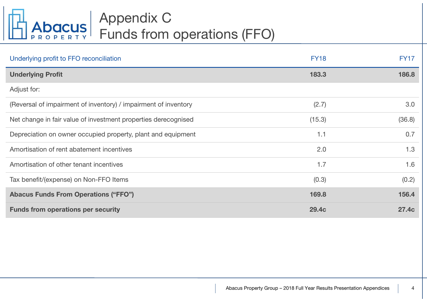

# Appendix C Funds from operations (FFO)

| Underlying profit to FFO reconciliation                         | <b>FY18</b> | <b>FY17</b> |
|-----------------------------------------------------------------|-------------|-------------|
| <b>Underlying Profit</b>                                        | 183.3       | 186.8       |
| Adjust for:                                                     |             |             |
| (Reversal of impairment of inventory) / impairment of inventory | (2.7)       | 3.0         |
| Net change in fair value of investment properties derecognised  | (15.3)      | (36.8)      |
| Depreciation on owner occupied property, plant and equipment    | 1.1         | 0.7         |
| Amortisation of rent abatement incentives                       | 2.0         | 1.3         |
| Amortisation of other tenant incentives                         | 1.7         | 1.6         |
| Tax benefit/(expense) on Non-FFO Items                          | (0.3)       | (0.2)       |
| <b>Abacus Funds From Operations ("FFO")</b>                     | 169.8       | 156.4       |
| <b>Funds from operations per security</b>                       | 29.4c       | 27.4c       |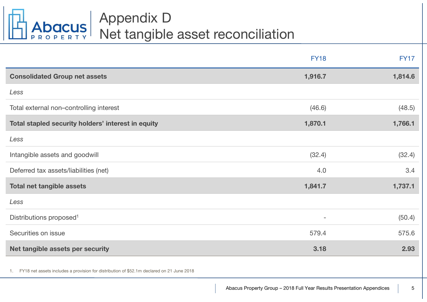

|                                                    | <b>FY18</b>              | <b>FY17</b> |
|----------------------------------------------------|--------------------------|-------------|
| <b>Consolidated Group net assets</b>               | 1,916.7                  | 1,814.6     |
| Less                                               |                          |             |
| Total external non-controlling interest            | (46.6)                   | (48.5)      |
| Total stapled security holders' interest in equity | 1,870.1                  | 1,766.1     |
| Less                                               |                          |             |
| Intangible assets and goodwill                     | (32.4)                   | (32.4)      |
| Deferred tax assets/liabilities (net)              | 4.0                      | 3.4         |
| <b>Total net tangible assets</b>                   | 1,841.7                  | 1,737.1     |
| Less                                               |                          |             |
| Distributions proposed <sup>1</sup>                | $\overline{\phantom{a}}$ | (50.4)      |
| Securities on issue                                | 579.4                    | 575.6       |
| Net tangible assets per security                   | 3.18                     | 2.93        |
|                                                    |                          |             |

1. FY18 net assets includes a provision for distribution of \$52.1m declared on 21 June 2018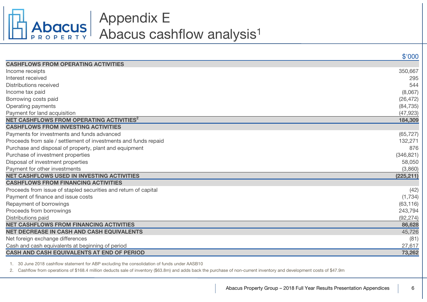

# Appendix E Abacus cashflow analysis 1

|                                                                 | \$'000     |
|-----------------------------------------------------------------|------------|
| <b>CASHFLOWS FROM OPERATING ACTIVITIES</b>                      |            |
| Income receipts                                                 | 350,667    |
| Interest received                                               | 295        |
| <b>Distributions received</b>                                   | 544        |
| Income tax paid                                                 | (8,067)    |
| Borrowing costs paid                                            | (26, 472)  |
| Operating payments                                              | (84, 735)  |
| Payment for land acquisition                                    | (47, 923)  |
| NET CASHFLOWS FROM OPERATING ACTIVITIES <sup>2</sup>            | 184,309    |
| <b>CASHFLOWS FROM INVESTING ACTIVITIES</b>                      |            |
| Payments for investments and funds advanced                     | (65, 727)  |
| Proceeds from sale / settlement of investments and funds repaid | 132,271    |
| Purchase and disposal of property, plant and equipment          | 876        |
| Purchase of investment properties                               | (346, 821) |
| Disposal of investment properties                               | 58,050     |
| Payment for other investments                                   | (3,860)    |
| <b>NET CASHFLOWS USED IN INVESTING ACTIVITIES</b>               | (225, 211) |
| <b>CASHFLOWS FROM FINANCING ACTIVITIES</b>                      |            |
| Proceeds from issue of stapled securities and return of capital | (42)       |
| Payment of finance and issue costs                              | (1,734)    |
| Repayment of borrowings                                         | (63, 116)  |
| Proceeds from borrowings                                        | 243,794    |
| Distributions paid                                              | (92, 274)  |
| <b>NET CASHFLOWS FROM FINANCING ACTIVITIES</b>                  | 86,628     |
| NET DECREASE IN CASH AND CASH EQUIVALENTS                       | 45,726     |
| Net foreign exchange differences                                | (81)       |
| Cash and cash equivalents at beginning of period                | 27,617     |
| <b>CASH AND CASH EQUIVALENTS AT END OF PERIOD</b>               | 73,262     |

1. 30 June 2018 cashflow statement for ABP excluding the consolidation of funds under AASB10

2. Cashflow from operations of \$168.4 million deducts sale of inventory (\$63.8m) and adds back the purchase of non-current inventory and development costs of \$47.9m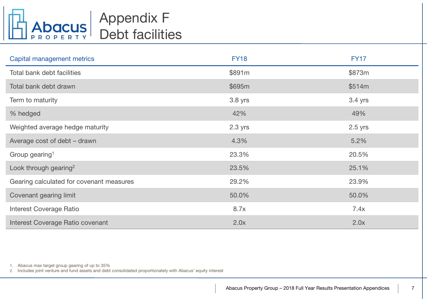

# Appendix F Debt facilities

| Capital management metrics               | <b>FY18</b> | <b>FY17</b> |
|------------------------------------------|-------------|-------------|
| Total bank debt facilities               | \$891m      | \$873m      |
| Total bank debt drawn                    | \$695m      | \$514m      |
| Term to maturity                         | 3.8 yrs     | 3.4 yrs     |
| % hedged                                 | 42%         | 49%         |
| Weighted average hedge maturity          | $2.3$ yrs   | $2.5$ yrs   |
| Average cost of debt - drawn             | 4.3%        | 5.2%        |
| Group gearing <sup>1</sup>               | 23.3%       | 20.5%       |
| Look through gearing <sup>2</sup>        | 23.5%       | 25.1%       |
| Gearing calculated for covenant measures | 29.2%       | 23.9%       |
| Covenant gearing limit                   | 50.0%       | 50.0%       |
| <b>Interest Coverage Ratio</b>           | 8.7x        | 7.4x        |
| Interest Coverage Ratio covenant         | 2.0x        | 2.0x        |

1. Abacus max target group gearing of up to 35%

2. Includes joint venture and fund assets and debt consolidated proportionately with Abacus' equity interest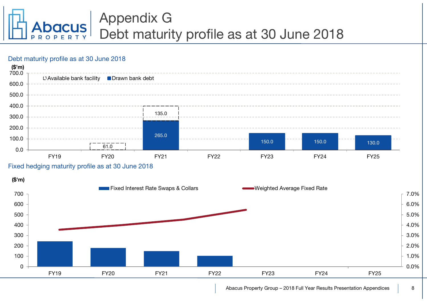

# Appendix G Debt maturity profile as at 30 June 2018

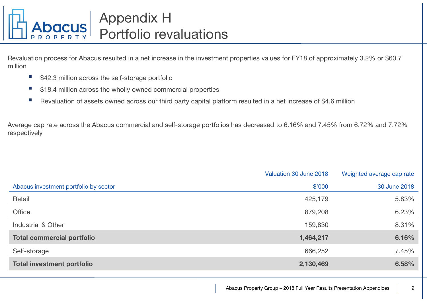

Revaluation process for Abacus resulted in a net increase in the investment properties values for FY18 of approximately 3.2% or \$60.7 million

- $\mathcal{L}_{\mathcal{A}}$ \$42.3 million across the self-storage portfolio
- F \$18.4 million across the wholly owned commercial properties
- F Revaluation of assets owned across our third party capital platform resulted in a net increase of \$4.6 million

Average cap rate across the Abacus commercial and self-storage portfolios has decreased to 6.16% and 7.45% from 6.72% and 7.72% respectively

|                                       | Valuation 30 June 2018 | Weighted average cap rate |
|---------------------------------------|------------------------|---------------------------|
| Abacus investment portfolio by sector | \$'000                 | 30 June 2018              |
| Retail                                | 425,179                | 5.83%                     |
| <b>Office</b>                         | 879,208                | 6.23%                     |
| Industrial & Other                    | 159,830                | 8.31%                     |
| <b>Total commercial portfolio</b>     | 1,464,217              | 6.16%                     |
| Self-storage                          | 666,252                | 7.45%                     |
| <b>Total investment portfolio</b>     | 2,130,469              | 6.58%                     |
|                                       |                        |                           |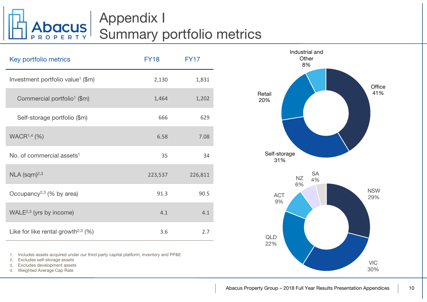

# Appendix I Summary portfolio metrics

| Key portfolio metrics                             | <b>FY18</b> | <b>FY17</b> |
|---------------------------------------------------|-------------|-------------|
| Investment portfolio value <sup>1</sup> (\$m)     | 2,130       | 1,831       |
| Commercial portfolio <sup>1</sup> (\$m)           | 1,464       | 1,202       |
| Self-storage portfolio (\$m)                      | 666         | 629         |
| WACR <sup>1,4</sup> (%)                           | 6.58        | 7.08        |
| No. of commercial assets <sup>1</sup>             | 35          | 34          |
| $NLA$ (sqm) <sup>2,3</sup>                        | 223,537     | 226,811     |
| Occupancy <sup>2,3</sup> (% by area)              | 91.3        | 90.5        |
| WALE $2,3$ (yrs by income)                        | 4.1         | 4.1         |
| Like for like rental growth <sup>2,3</sup> $(\%)$ | 3.6         | 2.7         |

1.Includes assets acquired under our third party capital platform, inventory and PP&E

- 2.Excludes self-storage assets
- 3.Excludes development assets
- 4.Weighted Average Cap Rate

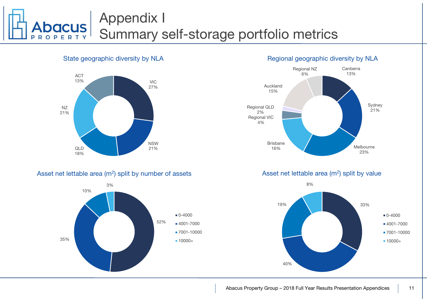# Appendix I Summary self-storage portfolio metrics

### State geographic diversity by NLA



### Asset net lettable area (m<sup>2</sup>) split by number of assets



## Regional geographic diversity by NLA



Asset net lettable area  $(m<sup>2</sup>)$  split by value

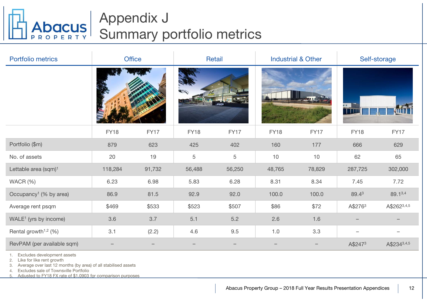

# Appendix J Summary portfolio metrics

| <b>Portfolio metrics</b>                      | <b>Office</b> |        | Retail      |             |             | <b>Industrial &amp; Other</b> | Self-storage        |             |
|-----------------------------------------------|---------------|--------|-------------|-------------|-------------|-------------------------------|---------------------|-------------|
|                                               |               |        |             |             |             |                               | $\cdots$            |             |
|                                               | <b>FY18</b>   | FY17   | <b>FY18</b> | <b>FY17</b> | <b>FY18</b> | FY17                          | <b>FY18</b>         | <b>FY17</b> |
| Portfolio (\$m)                               | 879           | 623    | 425         | 402         | 160         | 177                           | 666                 | 629         |
| No. of assets                                 | 20            | 19     | 5           | $\mathbf 5$ | 10          | 10                            | 62                  | 65          |
| Lettable area (sqm) <sup>1</sup>              | 118,284       | 91,732 | 56,488      | 56,250      | 48,765      | 78,829                        | 287,725             | 302,000     |
| WACR (%)                                      | 6.23          | 6.98   | 5.83        | 6.28        | 8.31        | 8.34                          | 7.45                | 7.72        |
| Occupancy <sup>1</sup> (% by area)            | 86.9          | 81.5   | 92.9        | 92.0        | 100.0       | 100.0                         | 89.43               | 89.13,4     |
| Average rent psqm                             | \$469         | \$533  | \$523       | \$507       | \$86        | \$72                          | A\$2763             | A\$2623,4,5 |
| WALE <sup>1</sup> (yrs by income)             | 3.6           | 3.7    | 5.1         | 5.2         | 2.6         | 1.6                           |                     |             |
| Rental growth <sup><math>1,2</math></sup> (%) | 3.1           | (2.2)  | 4.6         | 9.5         | 1.0         | 3.3                           |                     |             |
| RevPAM (per available sqm)                    |               |        |             |             |             |                               | A\$247 <sup>3</sup> | A\$2343,4,5 |

1.Excludes development assets

2.Like for like rent growth

3.Average over last 12 months (by area) of all stabilised assets

4.Excludes sale of Townsville Portfolio

5.Adjusted to FY18 FX rate of \$1.0903 for comparison purposes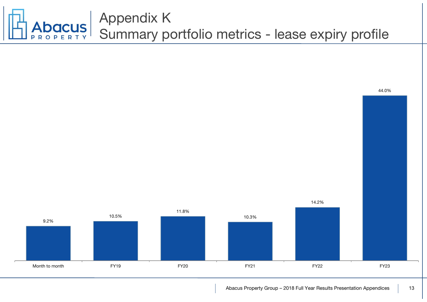

### Abacus Property Group – 2018 Full Year Results Presentation Appendices | 13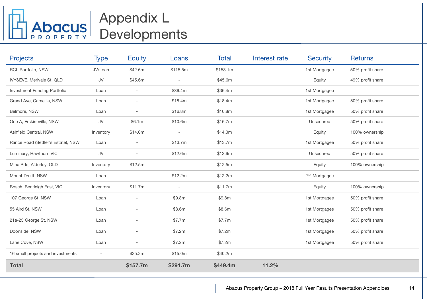# Appendix L Developments

| <b>Projects</b>                    | <b>Type</b> | <b>Equity</b>            | Loans                    | <b>Total</b> | Interest rate | <b>Security</b>           | <b>Returns</b>   |
|------------------------------------|-------------|--------------------------|--------------------------|--------------|---------------|---------------------------|------------------|
| RCL Portfolio, NSW                 | JV/Loan     | \$42.6m                  | \$115.5m                 | \$158.1m     |               | 1st Mortgagee             | 50% profit share |
| IVY&EVE, Merivale St, QLD          | JV          | \$45.6m                  | $\overline{\phantom{a}}$ | \$45.6m      |               | Equity                    | 49% profit share |
| Investment Funding Portfolio       | Loan        | $\overline{\phantom{a}}$ | \$36.4m                  | \$36.4m      |               | 1st Mortgagee             |                  |
| Grand Ave, Camellia, NSW           | Loan        | $\overline{\phantom{a}}$ | \$18.4m                  | \$18.4m      |               | 1st Mortgagee             | 50% profit share |
| Belmore, NSW                       | Loan        |                          | \$16.8m                  | \$16.8m      |               | 1st Mortgagee             | 50% profit share |
| One A, Erskineville, NSW           | JV          | \$6.1m                   | \$10.6m                  | \$16.7m      |               | Unsecured                 | 50% profit share |
| Ashfield Central, NSW              | Inventory   | \$14.0m                  | $\overline{\phantom{a}}$ | \$14.0m      |               | Equity                    | 100% ownership   |
| Rance Road (Settler's Estate), NSW | Loan        |                          | \$13.7m                  | \$13.7m      |               | 1st Mortgagee             | 50% profit share |
| Luminary, Hawthorn VIC             | JV          |                          | \$12.6m                  | \$12.6m      |               | Unsecured                 | 50% profit share |
| Mina Pde, Alderley, QLD            | Inventory   | \$12.5m                  |                          | \$12.5m      |               | Equity                    | 100% ownership   |
| Mount Druitt, NSW                  | Loan        |                          | \$12.2m                  | \$12.2m      |               | 2 <sup>nd</sup> Mortgagee |                  |
| Bosch, Bentleigh East, VIC         | Inventory   | \$11.7m                  |                          | \$11.7m      |               | Equity                    | 100% ownership   |
| 107 George St, NSW                 | Loan        |                          | \$9.8m                   | \$9.8m       |               | 1st Mortgagee             | 50% profit share |
| 55 Aird St, NSW                    | Loan        |                          | \$8.6m                   | \$8.6m       |               | 1st Mortgagee             | 50% profit share |
| 21a-23 George St, NSW              | Loan        | $\overline{\phantom{a}}$ | \$7.7m                   | \$7.7m       |               | 1st Mortgagee             | 50% profit share |
| Doonside, NSW                      | Loan        | $\overline{a}$           | \$7.2m                   | \$7.2m       |               | 1st Mortgagee             | 50% profit share |
| Lane Cove, NSW                     | Loan        | $\overline{\phantom{a}}$ | \$7.2m                   | \$7.2m       |               | 1st Mortgagee             | 50% profit share |
| 16 small projects and investments  |             | \$25.2m                  | \$15.0m                  | \$40.2m      |               |                           |                  |
| <b>Total</b>                       |             | \$157.7m                 | \$291.7m                 | \$449.4m     | 11.2%         |                           |                  |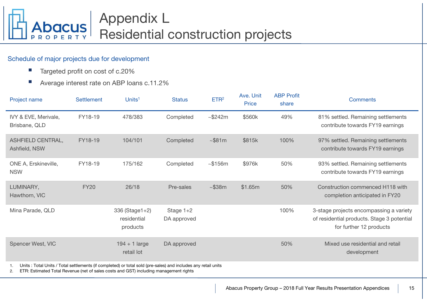

### Schedule of major projects due for development

- $\mathbb{R}^n$ Targeted profit on cost of c.20%
- Г Average interest rate on ABP loans c.11.2%

| Project name                                                                                                  | <b>Settlement</b> | Units <sup>1</sup>                                                                    | <b>Status</b>              | ETR <sup>2</sup> | Ave. Unit<br><b>Price</b> | <b>ABP Profit</b><br>share | <b>Comments</b>                                                                                                  |
|---------------------------------------------------------------------------------------------------------------|-------------------|---------------------------------------------------------------------------------------|----------------------------|------------------|---------------------------|----------------------------|------------------------------------------------------------------------------------------------------------------|
| IVY & EVE, Merivale,<br>Brisbane, QLD                                                                         | FY18-19           | 478/383                                                                               | Completed                  | $~\sim$ \$242m   | \$560k                    | 49%                        | 81% settled. Remaining settlements<br>contribute towards FY19 earnings                                           |
| ASHFIELD CENTRAL,<br>Ashfield, NSW                                                                            | FY18-19           | 104/101                                                                               | Completed                  | $~\sim$ \$81m    | \$815k                    | 100%                       | 97% settled. Remaining settlements<br>contribute towards FY19 earnings                                           |
| ONE A, Erskineville,<br><b>NSW</b>                                                                            | FY18-19           | 175/162                                                                               | Completed                  | ~156m            | \$976k                    | 50%                        | 93% settled. Remaining settlements<br>contribute towards FY19 earnings                                           |
| LUMINARY,<br>Hawthorn, VIC                                                                                    | <b>FY20</b>       | 26/18                                                                                 | Pre-sales                  | $~-$ \$38m       | \$1.65m                   | 50%                        | Construction commenced H118 with<br>completion anticipated in FY20                                               |
| Mina Parade, QLD                                                                                              |                   | 336 (Stage1+2)<br>residential<br>products                                             | Stage $1+2$<br>DA approved |                  |                           | 100%                       | 3-stage projects encompassing a variety<br>of residential products. Stage 3 potential<br>for further 12 products |
| Spencer West, VIC                                                                                             |                   | $194 + 1$ large<br>retail lot                                                         | DA approved                |                  |                           | 50%                        | Mixed use residential and retail<br>development                                                                  |
| Units: Total Units / Total settlements (if completed) or total sold (pre-sales) and includes any retail units |                   | ETR: Estimated Total Revenue (net of sales costs and GST) including management rights |                            |                  |                           |                            |                                                                                                                  |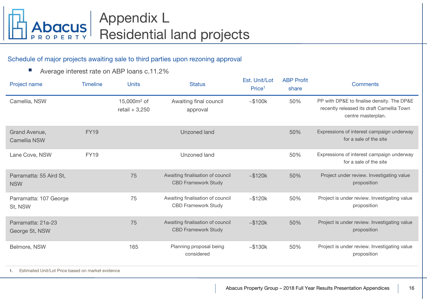

## Schedule of major projects awaiting sale to third parties upon rezoning approval

 $\mathcal{L}_{\mathcal{A}}$ Average interest rate on ABP loans c.11.2%

| Project name                          | <b>Timeline</b> | <b>Units</b>                      | <b>Status</b>                                                  | Est. Unit/Lot<br>Price <sup>1</sup> | <b>ABP Profit</b><br>share | <b>Comments</b>                                                                                               |
|---------------------------------------|-----------------|-----------------------------------|----------------------------------------------------------------|-------------------------------------|----------------------------|---------------------------------------------------------------------------------------------------------------|
| Camellia, NSW                         |                 | 15,000 $m2$ of<br>retail $+3,250$ | Awaiting final council<br>approval                             | ~100k                               | 50%                        | PP with DP&E to finalise density. The DP&E<br>recently released its draft Camellia Town<br>centre masterplan. |
| Grand Avenue,<br><b>Camellia NSW</b>  | <b>FY19</b>     |                                   | <b>Unzoned land</b>                                            |                                     | 50%                        | Expressions of interest campaign underway<br>for a sale of the site                                           |
| Lane Cove, NSW                        | <b>FY19</b>     |                                   | Unzoned land                                                   |                                     | 50%                        | Expressions of interest campaign underway<br>for a sale of the site                                           |
| Parramatta: 55 Aird St,<br><b>NSW</b> |                 | 75                                | Awaiting finalisation of council<br><b>CBD Framework Study</b> | ~120k                               | 50%                        | Project under review. Investigating value<br>proposition                                                      |
| Parramatta: 107 George<br>St, NSW     |                 | 75                                | Awaiting finalisation of council<br><b>CBD Framework Study</b> | ~120k                               | 50%                        | Project is under review. Investigating value<br>proposition                                                   |
| Parramatta: 21a-23<br>George St, NSW  |                 | 75                                | Awaiting finalisation of council<br><b>CBD Framework Study</b> | ~120k                               | 50%                        | Project is under review. Investigating value<br>proposition                                                   |
| Belmore, NSW                          |                 | 165                               | Planning proposal being<br>considered                          | $~\sim$ \$130 $~\text{k}$           | 50%                        | Project is under review. Investigating value<br>proposition                                                   |

1.Estimated Unit/Lot Price based on market evidence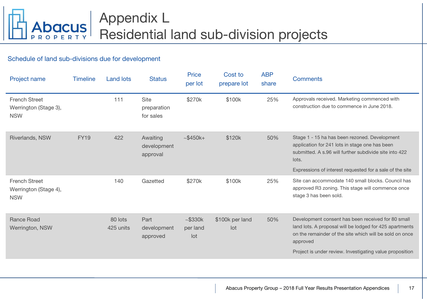

### Schedule of land sub-divisions due for development

| Project name                                                | <b>Timeline</b> | <b>Land lots</b>     | <b>Status</b>                           | <b>Price</b><br>per lot              | Cost to<br>prepare lot | <b>ABP</b><br>share | <b>Comments</b>                                                                                                                                                                                                                                  |
|-------------------------------------------------------------|-----------------|----------------------|-----------------------------------------|--------------------------------------|------------------------|---------------------|--------------------------------------------------------------------------------------------------------------------------------------------------------------------------------------------------------------------------------------------------|
| <b>French Street</b><br>Werrington (Stage 3),<br><b>NSW</b> |                 | 111                  | <b>Site</b><br>preparation<br>for sales | \$270k                               | \$100k                 | 25%                 | Approvals received. Marketing commenced with<br>construction due to commence in June 2018.                                                                                                                                                       |
| Riverlands, NSW                                             | <b>FY19</b>     | 422                  | Awaiting<br>development<br>approval     | $~1.5450k+$                          | \$120k                 | 50%                 | Stage 1 - 15 ha has been rezoned. Development<br>application for 241 lots in stage one has been<br>submitted. A s.96 will further subdivide site into 422<br>lots.<br>Expressions of interest requested for a sale of the site                   |
| <b>French Street</b><br>Werrington (Stage 4),<br><b>NSW</b> |                 | 140                  | Gazetted                                | \$270k                               | \$100k                 | 25%                 | Site can accommodate 140 small blocks. Council has<br>approved R3 zoning. This stage will commence once<br>stage 3 has been sold.                                                                                                                |
| <b>Rance Road</b><br>Werrington, NSW                        |                 | 80 lots<br>425 units | Part<br>development<br>approved         | $~\sim$ \$330 $k$<br>per land<br>lot | \$100k per land<br>lot | 50%                 | Development consent has been received for 80 small<br>land lots. A proposal will be lodged for 425 apartments<br>on the remainder of the site which will be sold on once<br>approved<br>Project is under review. Investigating value proposition |